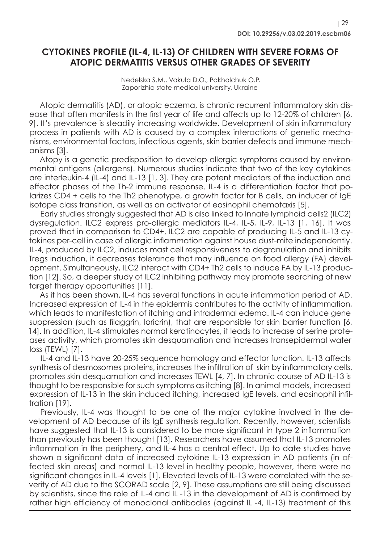# **CYTOKINES PROFILE (IL-4, IL-13) OF CHILDREN WITH SEVERE FORMS OF ATOPIC DERMATITIS VERSUS OTHER GRADES OF SEVERITY**

Nedelska S.M., Vakula D.O., Pakholchuk O.P. Zaporizhia state medical university, Ukraine

Atopic dermatitis (AD), or atopic eczema, is chronic recurrent inflammatory skin disease that often manifests in the first year of life and affects up to 12-20% of children [6, 9]. It's prevalence is steadily increasing worldwide. Development of skin inflammatory process in patients with AD is caused by a complex interactions of genetic mechanisms, environmental factors, infectious agents, skin barrier defects and immune mechanisms [3].

Atopy is a genetic predisposition to develop allergic symptoms caused by environmental antigens (allergens). Numerous studies indicate that two of the key cytokines are interleukin-4 (IL-4) and IL-13 [1, 3]. They are potent mediators of the induction and effector phases of the Th-2 immune response. IL-4 is a differentiation factor that polarizes CD4 + cells to the Th2 phenotype, a growth factor for B cells, an inducer of IgE isotope class transition, as well as an activator of eosinophil chemotaxis [5].

Early studies strongly suggested that AD is also linked to Innate lymphoid cells2 (ILC2) dysregulation. ILC2 express pro-allergic mediators IL-4, IL-5, IL-9, IL-13 [1, 16]. It was proved that in comparison to CD4+, ILC2 are capable of producing IL-5 and IL-13 cytokines per-cell in case of allergic inflammation against house dust-mite independently. IL-4, produced by ILC2, induces mast cell responsiveness to degranulation and inhibits Tregs induction, it decreases tolerance that may influence on food allergy (FA) development. Simultaneously, ILC2 interact with CD4+ Th2 cells to induce FA by IL-13 production [12]. So, a deeper study of ILC2 inhibiting pathway may promote searching of new target therapy opportunities [11].

As it has been shown, IL-4 has several functions in acute inflammation period of AD. Increased expression of IL-4 in the epidermis contributes to the activity of inflammation, which leads to manifestation of itching and intradermal edema. IL-4 can induce gene suppression (such as filaggrin, loricrin), that are responsible for skin barrier function [6, 14]. In addition, IL-4 stimulates normal keratinocytes, it leads to increase of serine proteases activity, which promotes skin desquamation and increases transepidermal water loss (TEWL) [7].

IL-4 and IL-13 have 20-25% sequence homology and effector function. IL-13 affects synthesis of desmosomes proteins, increases the infiltration of skin by inflammatory cells, promotes skin desquamation and increases TEWL [4, 7]. In chronic course of AD IL-13 is thought to be responsible for such symptoms as itching [8]. In animal models, increased expression of IL-13 in the skin induced itching, increased IgE levels, and eosinophil infiltration [19].

Previously, IL-4 was thought to be one of the major cytokine involved in the development of AD because of its IgE synthesis regulation. Recently, however, scientists have suggested that IL-13 is considered to be more significant in type 2 inflammation than previously has been thought [13]. Researchers have assumed that IL-13 promotes inflammation in the periphery, and IL-4 has a central effect. Up to date studies have shown a significant data of increased cytokine IL-13 expression in AD patients (in affected skin areas) and normal IL-13 level in healthy people, however, there were no significant changes in IL-4 levels [1]. Elevated levels of IL-13 were correlated with the severity of AD due to the SCORAD scale [2, 9]. These assumptions are still being discussed by scientists, since the role of IL-4 and IL -13 in the development of AD is confirmed by rather high efficiency of monoclonal antibodies (against IL -4, IL-13) treatment of this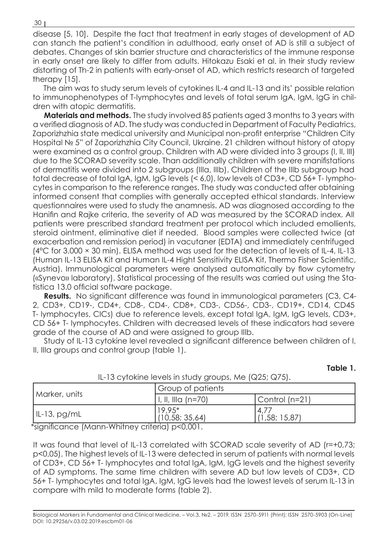disease [5, 10]. Despite the fact that treatment in early stages of development of AD can stanch the patient's condition in adulthood, early onset of AD is still a subject of debates. Changes of skin barrier structure and characteristics of the immune response in early onset are likely to differ from adults. Hitokazu Esaki et al. in their study review distorting of Th-2 in patients with early-onset of AD, which restricts research of targeted therapy [15].

The aim was to study serum levels of cytokines IL-4 and IL-13 and its' possible relation to immunophenotypes of T-lymphocytes and levels of total serum IgA, IgM, IgG in children with atopic dermatitis.

**Materials and methods.** The study involved 85 patients aged 3 months to 3 years with a verified diagnosis of AD. The study was conducted in Department of Faculty Pediatrics, Zaporizhzhia state medical university and Municipal non-profit enterprise "Children City Hospital № 5" of Zaporizhzhia City Council, Ukraine. 21 children without history of atopy were examined as a control group. Children with AD were divided into 3 groups (I, II, III) due to the SCORAD severity scale. Than additionally children with severe manifistations of dermatitis were divided into 2 subgroups (IIIa, IIIb). Children of the IIIb subgroup had total decrease of total IgA, IgM, IgG levels (< 6,0), low levels of CD3+, CD 56+ T- lymphocytes in comparison to the reference ranges. The study was conducted after obtaining informed consent that complies with generally accepted ethical standards. Interview questionnaires were used to study the anamnesis. AD was diagnosed according to the Hanifin and Rajke criteria, the severity of AD was measured by the SCORAD index. All patients were prescribed standard treatment per protocol which included emollients, steroid ointment, eliminative diet if needed. Blood samples were collected twice (at exacerbation and remission period) in vacutaner (EDTA) and immediately centrifuged (4°C for 3.000 × 30 min). ELISA method was used for the detection of levels of IL-4, IL-13 (Human IL-13 ELISA Kit and Human IL-4 Hight Sensitivity ELISA Kit, Thermo Fisher Scientific, Austria). Immunological parameters were analysed automatically by flow cytometry («Synevo» laboratory). Statistical processing of the results was carried out using the Statistica 13.0 official software package.

**Results.** No significant difference was found in immunological parameters (C3, C4- 2, CD3+, CD19-, CD4+, CD8-, CD4-, CD8+, CD3-, CD56-, CD3-, CD19+, CD14, CD45 T- lymphocytes, CICs) due to reference levels, except total IgA, IgM, IgG levels, CD3+, CD 56+ T- lymphocytes. Children with decreased levels of these indicators had severe grade of the course of AD and were assigned to group IIIb.

Study of IL-13 cytokine level revealed a significant difference between children of I, II, IIIa groups and control group (table 1).

| $\frac{1}{2}$ is the function of the state $\frac{1}{2}$ is the properties of $\frac{1}{2}$ is the state of $\frac{1}{2}$ |                            |                      |  |  |
|---------------------------------------------------------------------------------------------------------------------------|----------------------------|----------------------|--|--|
|                                                                                                                           | Group of patients          |                      |  |  |
| Marker, units                                                                                                             | ' I, II, Illa (n=70)       | Control (n=21)       |  |  |
| $ II-13,pg/mL$                                                                                                            | $19.95*$<br>(10,58; 35,64) | 4,7<br>(1,58; 15,87) |  |  |
| $*$ sianificanoo $\mu$ 4ann Whitnoy oritorial p<0.001                                                                     |                            |                      |  |  |

### IL-13 cytokine levels in study groups, Me (Q25; Q75).

**Тable 1.**

\*significance (Mann-Whitney criteria) p<0,001.

It was found that level of IL-13 correlated with SCORAD scale severity of AD (r=+0,73; р<0,05). The highest levels of IL-13 were detected in serum of patients with normal levels of CD3+, CD 56+ T- lymphocytes and total IgA, IgM, IgG levels and the highest severity of AD symptoms. The same time children with severe AD but low levels of CD3+, CD 56+ T- lymphocytes and total IgA, IgM, IgG levels had the lowest levels of serum IL-13 in compare with mild to moderate forms (table 2).

Biological Markers in Fundamental and Clinical Medicine. – Vol.3, №2. – 2019. ISSN 2570-5911 (Print); ISSN 2570-5903 (On-Line) DOI: 10.29256/v.03.02.2019.escbm01-06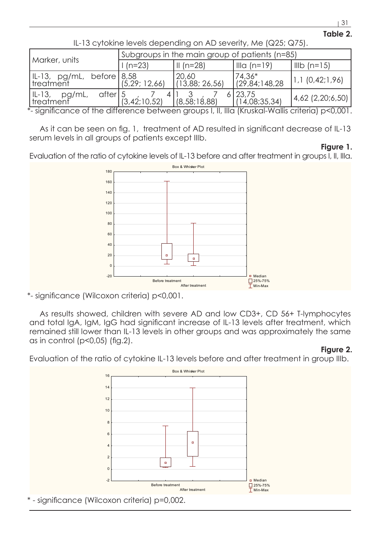#### 31 **Table 2.**

| $1 - 100$ of $100$ in the state of $100$ or $100$ in the set of $100$ in the $100$ in $100$ |                                                        |           |                                                                                            |                       |  |  |
|---------------------------------------------------------------------------------------------|--------------------------------------------------------|-----------|--------------------------------------------------------------------------------------------|-----------------------|--|--|
|                                                                                             | Subgroups in the main group of patients (n=85)         |           |                                                                                            |                       |  |  |
| Marker, units                                                                               | $ 1(n=23) $                                            | II (n=28) | $\ln$ $(n=19)$                                                                             | $\vert$ IIIb (n=15)   |  |  |
| $\begin{array}{ l l }\n ll-13, &pg/mL, &before & 8,58treatment & (5,29; & \end{array}$      | $(5,29; 12,66)$ (13,88; 26,56)                         | 20,60     | $\begin{array}{ c c }\n 74.36^* \\ \hline\n (29.84;148.28)\n \end{array}$                  | [1, 1 (0, 42; 1, 96)] |  |  |
| $ I-L-13, pg/mL,$<br>treatment                                                              | after   5 7 4   1 3 7<br>  (3,42;10,52)   (8,58;18,88) |           | $6 \mid 23,75$<br>$\left  \left  \left  \right  \right  \left  4,08;35,34 \right  \right $ | $4,62$ (2,20;6,50)    |  |  |

IL-13 cytokine levels depending on AD severity, Me (Q25; Q75).

\*- significance of the difference between groups I, II, IIIa (Kruskal-Wallis criteria) p<0,001.

As it can be seen on fig. 1, treatment of AD resulted in significant decrease of IL-13 serum levels in all groups of patients except IIIb.

### **Figure 1.**

Evaluation of the ratio of cytokine levels of IL-13 before and after treatment in groups I, II, IIIa.



\*- significance (Wilcoxon criteria) p<0,001.

As results showed, children with severe AD and low CD3+, CD 56+ T-lymphocytes and total IgA, IgM, IgG had significant increase of IL-13 levels after treatment, which remained still lower than IL-13 levels in other groups and was approximately the same as in control (p<0,05) (fig.2).

## **Figure 2.**

Evaluation of the ratio of cytokine IL-13 levels before and after treatment in group IIIb.



\* - significance (Wilcoxon criteria) p=0,002.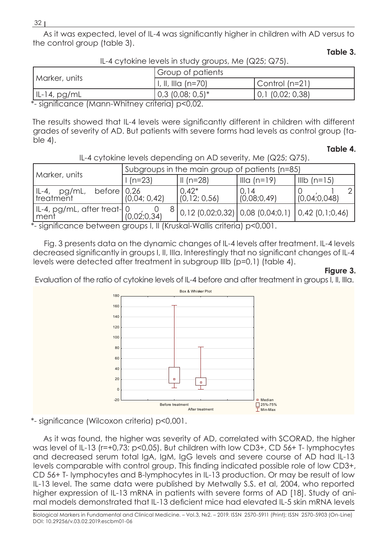As it was expected, level of IL-4 was significantly higher in children with AD versus to the control group (table 3).

#### **Table 3.**

|                 | IL-4 CYTONITIC ICYCIS III STUCHY GIOUDS, IVIC TOZO, OZ UJ. |                    |                                         |  |  |  |  |
|-----------------|------------------------------------------------------------|--------------------|-----------------------------------------|--|--|--|--|
| Marker, units   |                                                            | Group of patients  |                                         |  |  |  |  |
|                 | $I, II, IIIa (n=70)$                                       | $ Control (n=21) $ |                                         |  |  |  |  |
| $ I-L-14,pg/mL$ |                                                            | $0,3$ (0,08; 0,5)* | $\vert 0, 1 \vert (0, 02; 0, 38) \vert$ |  |  |  |  |
|                 | .<br>$\sim$ $\sim$ $\sim$ $\sim$                           | $\sim$ $\sim$      |                                         |  |  |  |  |

IL-4 cytokine levels in study groups, Me (Q25; Q75).

\*- significance (Mann-Whitney criteria) p<0,02.

The results showed that IL-4 levels were significantly different in children with different grades of severity of AD. But patients with severe forms had levels as control group (table 4).

## **Table 4.**

| Marker, units                                                                                                                                                                                                                                                                                                                                                                                                                                        | Subgroups in the main group of patients (n=85) |                                                      |                      |                     |
|------------------------------------------------------------------------------------------------------------------------------------------------------------------------------------------------------------------------------------------------------------------------------------------------------------------------------------------------------------------------------------------------------------------------------------------------------|------------------------------------------------|------------------------------------------------------|----------------------|---------------------|
|                                                                                                                                                                                                                                                                                                                                                                                                                                                      | $1(n=23)$                                      | $\mathsf{III}$ (n=28)                                | IIIa (n=19)          | $\vert$ IIIb (n=15) |
| before $\vert$ 0,26<br>  IL-4, pg/mL,<br>  treatment                                                                                                                                                                                                                                                                                                                                                                                                 | (0.04; 0.42)                                   | $\begin{array}{c} 0,42^* \\ (0,12;0,56) \end{array}$ | 0, 14<br>(0,08;0,49) | (0,04;0,048)        |
| IL-4, pg/mL, after treat-   0 (0,02;0,34)<br>  ment                                                                                                                                                                                                                                                                                                                                                                                                  |                                                | $8 0,12 0,02;0,32 0,08 0,04;0,1 0,42 0,1;0,46 $      |                      |                     |
| $*$ significance between around $\blacksquare$ $\blacksquare$ $\blacksquare$ $\blacksquare$ $\blacksquare$ $\blacksquare$ $\blacksquare$ $\blacksquare$ $\blacksquare$ $\blacksquare$ $\blacksquare$ $\blacksquare$ $\blacksquare$ $\blacksquare$ $\blacksquare$ $\blacksquare$ $\blacksquare$ $\blacksquare$ $\blacksquare$ $\blacksquare$ $\blacksquare$ $\blacksquare$ $\blacksquare$ $\blacksquare$ $\blacksquare$ $\blacksquare$ $\blacksquare$ |                                                |                                                      |                      |                     |

IL-4 cytokine levels depending on AD severity, Me (Q25; Q75).

\*- significance between groups I, II (Kruskal-Wallis criteria) p<0,001.

Fig. 3 presents data on the dynamic changes of IL-4 levels after treatment. IL-4 levels decreased significantly in groups I, II, IIIa. Interestingly that no significant changes of IL-4 levels were detected after treatment in subgroup IIIb (р=0,1) (table 4).

### **Figure 3.**

Evaluation of the ratio of cytokine levels of IL-4 before and after treatment in groups I, II, IIIa.



\*- significance (Wilcoxon criteria) p<0,001.

As it was found, the higher was severity of AD, correlated with SCORAD, the higher was level of IL-13 (r=+0,73; p<0,05). But children with low CD3+, CD 56+ T- lymphocytes and decreased serum total IgA, IgM, IgG levels and severe course of AD had IL-13 levels comparable with control group. This finding indicated possible role of low CD3+, CD 56+ T- lymphocytes and B-lymphocytes in IL-13 production. Or may be result of low IL-13 level. The same data were published by Metwally S.S. et al, 2004, who reported higher expression of IL-13 mRNA in patients with severe forms of AD [18]. Study of animal models demonstrated that IL-13 deficient mice had elevated IL-5 skin mRNA levels